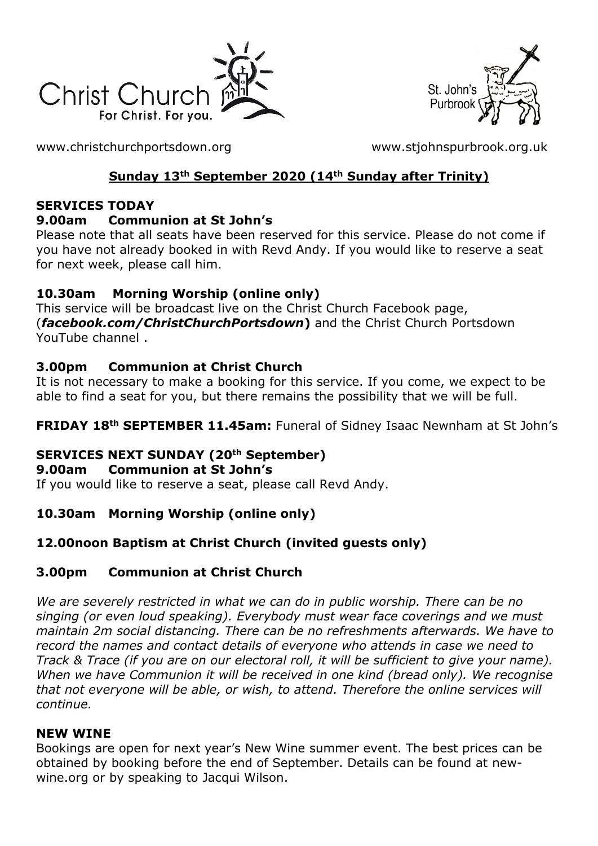



[www.christchurchportsdown.org](http://www.christchurchportsdown.org/) [www.stjohnspurbrook.org.uk](http://www.stjohnspurbrook.org.uk/)

### **Sunday 13th September 2020 (14th Sunday after Trinity)**

#### **SERVICES TODAY**

#### **9.00am Communion at St John's**

Please note that all seats have been reserved for this service. Please do not come if you have not already booked in with Revd Andy. If you would like to reserve a seat for next week, please call him.

### **10.30am Morning Worship (online only)**

This service will be broadcast live on the Christ Church Facebook page, (*[facebook.com/ChristChurchPortsdown](http://www.facebook.com/ChristChurchPortsdown%20at%2010.30)***)** and the Christ Church Portsdown [YouTube channel](http://www.facebook.com/ChristChurchPortsdown%20at%2010.30) .

### **3.00pm Communion at Christ Church**

It is not necessary to make a booking for this service. If you come, we expect to be able to find a seat for you, but there remains the possibility that we will be full.

**FRIDAY 18th SEPTEMBER 11.45am:** Funeral of Sidney Isaac Newnham at St John's

# **SERVICES NEXT SUNDAY (20th September)**

#### **9.00am Communion at St John's**

If you would like to reserve a seat, please call Revd Andy.

# **10.30am Morning Worship (online only)**

# **12.00noon Baptism at Christ Church (invited guests only)**

### **3.00pm Communion at Christ Church**

*We are severely restricted in what we can do in public worship. There can be no singing (or even loud speaking). Everybody must wear face coverings and we must maintain 2m social distancing. There can be no refreshments afterwards. We have to record the names and contact details of everyone who attends in case we need to Track & Trace (if you are on our electoral roll, it will be sufficient to give your name). When we have Communion it will be received in one kind (bread only). We recognise that not everyone will be able, or wish, to attend. Therefore the online services will continue.*

#### **NEW WINE**

Bookings are open for next year's New Wine summer event. The best prices can be obtained by booking before the end of September. Details can be found at newwine.org or by speaking to Jacqui Wilson.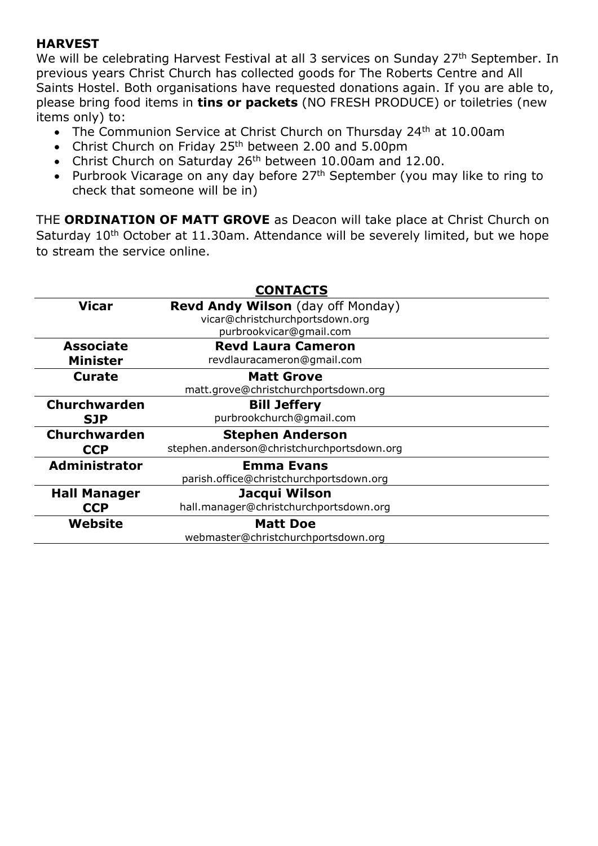#### **HARVEST**

We will be celebrating Harvest Festival at all 3 services on Sunday 27<sup>th</sup> September. In previous years Christ Church has collected goods for The Roberts Centre and All Saints Hostel. Both organisations have requested donations again. If you are able to, please bring food items in **tins or packets** (NO FRESH PRODUCE) or toiletries (new items only) to:

- The Communion Service at Christ Church on Thursday 24<sup>th</sup> at 10.00am
- Christ Church on Friday 25<sup>th</sup> between 2.00 and 5.00pm
- Christ Church on Saturday 26<sup>th</sup> between 10.00am and 12.00.
- Purbrook Vicarage on any day before 27<sup>th</sup> September (you may like to ring to check that someone will be in)

THE **ORDINATION OF MATT GROVE** as Deacon will take place at Christ Church on Saturday 10<sup>th</sup> October at 11.30am. Attendance will be severely limited, but we hope to stream the service online.

| <b>CONTACTS</b>                     |                                                                                                        |
|-------------------------------------|--------------------------------------------------------------------------------------------------------|
| <b>Vicar</b>                        | <b>Revd Andy Wilson</b> (day off Monday)<br>vicar@christchurchportsdown.org<br>purbrookvicar@gmail.com |
| <b>Associate</b><br><b>Minister</b> | <b>Revd Laura Cameron</b><br>revdlauracameron@gmail.com                                                |
| <b>Curate</b>                       | <b>Matt Grove</b><br>matt.grove@christchurchportsdown.org                                              |
| Churchwarden<br><b>SJP</b>          | <b>Bill Jeffery</b><br>purbrookchurch@gmail.com                                                        |
| <b>Churchwarden</b><br><b>CCP</b>   | <b>Stephen Anderson</b><br>stephen.anderson@christchurchportsdown.org                                  |
| Administrator                       | <b>Emma Evans</b><br>parish.office@christchurchportsdown.org                                           |
| <b>Hall Manager</b><br><b>CCP</b>   | Jacqui Wilson<br>hall.manager@christchurchportsdown.org                                                |
| Website                             | <b>Matt Doe</b><br>webmaster@christchurchportsdown.org                                                 |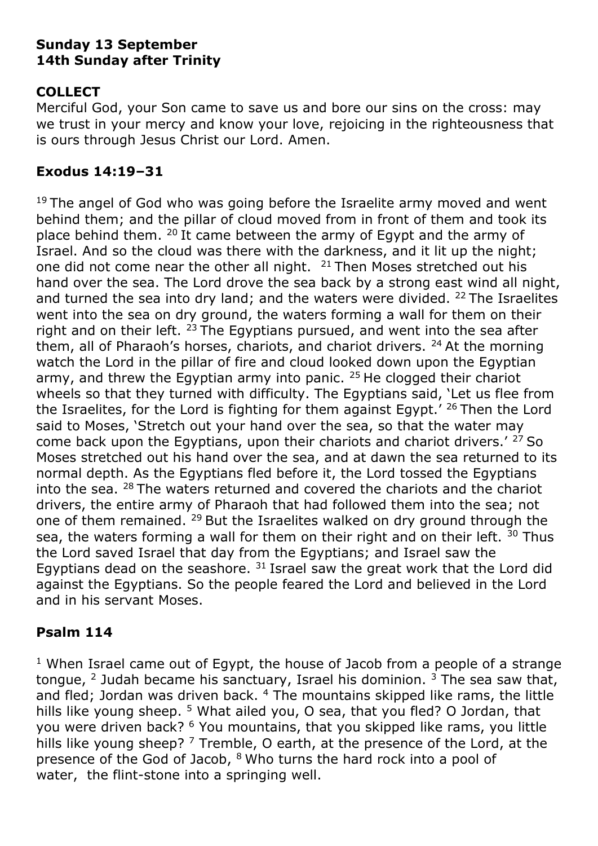### **Sunday 13 September 14th Sunday after Trinity**

# **COLLECT**

Merciful God, your Son came to save us and bore our sins on the cross: may we trust in your mercy and know your love, rejoicing in the righteousness that is ours through Jesus Christ our Lord. Amen.

### **Exodus 14:19–31**

 $19$  The angel of God who was going before the Israelite army moved and went behind them; and the pillar of cloud moved from in front of them and took its place behind them. <sup>20</sup> It came between the army of Egypt and the army of Israel. And so the cloud was there with the darkness, and it lit up the night; one did not come near the other all night. <sup>21</sup> Then Moses stretched out his hand over the sea. The Lord drove the sea back by a strong east wind all night, and turned the sea into dry land; and the waters were divided.  $22$  The Israelites went into the sea on dry ground, the waters forming a wall for them on their right and on their left.  $23$  The Egyptians pursued, and went into the sea after them, all of Pharaoh's horses, chariots, and chariot drivers. <sup>24</sup> At the morning watch the Lord in the pillar of fire and cloud looked down upon the Egyptian army, and threw the Egyptian army into panic.  $25$  He clogged their chariot wheels so that they turned with difficulty. The Egyptians said, 'Let us flee from the Israelites, for the Lord is fighting for them against Egypt.<sup> $\prime$  26</sup> Then the Lord said to Moses, 'Stretch out your hand over the sea, so that the water may come back upon the Egyptians, upon their chariots and chariot drivers.<sup>' 27</sup> So Moses stretched out his hand over the sea, and at dawn the sea returned to its normal depth. As the Egyptians fled before it, the Lord tossed the Egyptians into the sea.  $28$  The waters returned and covered the chariots and the chariot drivers, the entire army of Pharaoh that had followed them into the sea; not one of them remained. <sup>29</sup> But the Israelites walked on dry ground through the sea, the waters forming a wall for them on their right and on their left.  $30$  Thus the Lord saved Israel that day from the Egyptians; and Israel saw the Egyptians dead on the seashore.  $31$  Israel saw the great work that the Lord did against the Egyptians. So the people feared the Lord and believed in the Lord and in his servant Moses.

### **Psalm 114**

 $1$  When Israel came out of Egypt, the house of Jacob from a people of a strange tongue, <sup>2</sup> Judah became his sanctuary, Israel his dominion.  $3$  The sea saw that, and fled; Jordan was driven back. <sup>4</sup> The mountains skipped like rams, the little hills like young sheep. <sup>5</sup> What ailed you, O sea, that you fled? O Jordan, that you were driven back? <sup>6</sup> You mountains, that you skipped like rams, you little hills like young sheep?  $7$  Tremble, O earth, at the presence of the Lord, at the presence of the God of Jacob, <sup>8</sup> Who turns the hard rock into a pool of water, the flint-stone into a springing well.